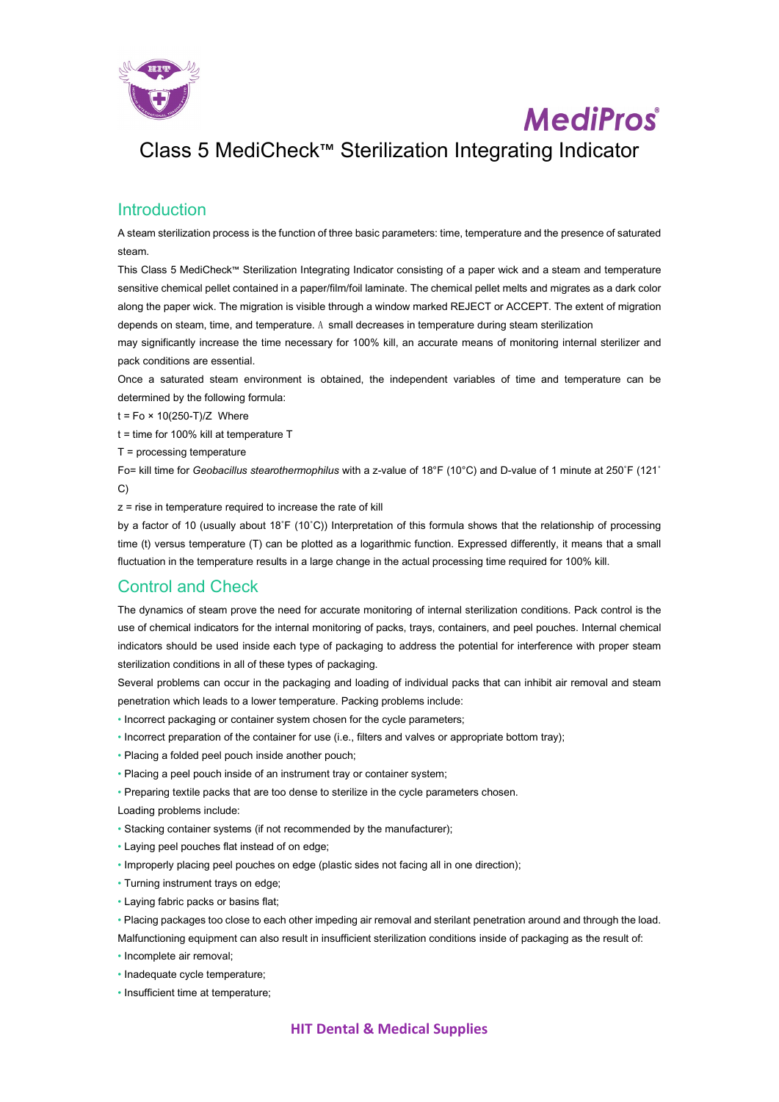

## **MediPros**

## Class 5 MediCheck™ Sterilization Integrating Indicator

## **Introduction**

A steam sterilization process is the function of three basic parameters: time, temperature and the presence of saturated steam.

This Class 5 MediCheck™ Sterilization Integrating Indicator consisting of a paper wick and a steam and temperature sensitive chemical pellet contained in a paper/film/foil laminate. The chemical pellet melts and migrates as a dark color along the paper wick. The migration is visible through a window marked REJECT or ACCEPT. The extent of migration depends on steam, time, and temperature. A small decreases in temperature during steam sterilization

may significantly increase the time necessary for 100% kill, an accurate means of monitoring internal sterilizer and pack conditions are essential.

Once a saturated steam environment is obtained, the independent variables of time and temperature can be determined by the following formula:

- $t = Fo \times 10(250-T)/Z$  Where
- t = time for 100% kill at temperature T
- T = processing temperature

Fo= kill time for *Geobacillus stearothermophilus* with a z-value of 18°F (10°C) and D-value of 1 minute at 250˚F (121˚ C)

z = rise in temperature required to increase the rate of kill

by a factor of 10 (usually about 18˚F (10˚C)) Interpretation of this formula shows that the relationship of processing time (t) versus temperature (T) can be plotted as a logarithmic function. Expressed differently, it means that a small fluctuation in the temperature results in a large change in the actual processing time required for 100% kill.

## Control and Check

The dynamics of steam prove the need for accurate monitoring of internal sterilization conditions. Pack control is the use of chemical indicators for the internal monitoring of packs, trays, containers, and peel pouches. Internal chemical indicators should be used inside each type of packaging to address the potential for interference with proper steam sterilization conditions in all of these types of packaging.

Several problems can occur in the packaging and loading of individual packs that can inhibit air removal and steam penetration which leads to a lower temperature. Packing problems include:

- Incorrect packaging or container system chosen for the cycle parameters;
- Incorrect preparation of the container for use (i.e., filters and valves or appropriate bottom tray);
- Placing a folded peel pouch inside another pouch;
- Placing a peel pouch inside of an instrument tray or container system;
- Preparing textile packs that are too dense to sterilize in the cycle parameters chosen.

Loading problems include:

- Stacking container systems (if not recommended by the manufacturer);
- Laying peel pouches flat instead of on edge;
- Improperly placing peel pouches on edge (plastic sides not facing all in one direction);
- Turning instrument trays on edge;
- Laying fabric packs or basins flat;
- Placing packages too close to each other impeding air removal and sterilant penetration around and through the load.

Malfunctioning equipment can also result in insufficient sterilization conditions inside of packaging as the result of:

- Incomplete air removal;
- Inadequate cycle temperature;
- Insufficient time at temperature;

#### **HIT Dental & Medical Supplies**